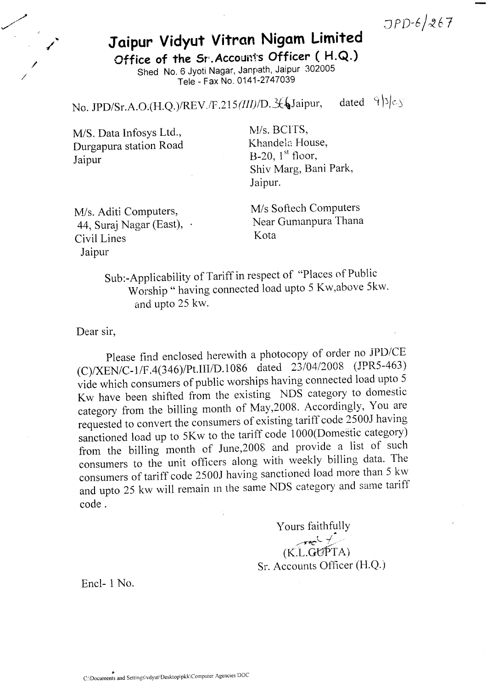$JPD-6/267$ 

## Jaipur Vidyut Vitran Nigam Limited

Office of the Sr. Account's Officer (H.Q.) Shed No. 6 Jyoti Nagar, Janpath, Jaipur 302005 Tele - Fax No' 0141-2747039

No. JPD/Sr.A.O.(H.Q.)/REV./F.215(III)/D.  $\mathcal{L}\left\{$  Jaipur, dated  $9|5c_5$ 

M/S. Data Infosys Ltd., Durgapura station Road Jaipur

M/s. BCITS, Khandela House, B-20,  $1<sup>st</sup>$  floor, Shiv Marg, Bani Park, Jaipur.

M/s. Aditi Computers, 44, Suraj Nagar (East), Civil Lines Jaipur

M/s Softech ComPuters Near Gumanpura Thana Kota

Sub:-Applicability of Tariff in respect of "Places of Public Worship " having connected load upto 5 Kw,above 5kw. and upto 25 kw.

Dear sir,

Please find enclosed herewith a photocopy of order no JPD/CE (C)/XEN/C-1/F.4(346)/Pt.III/D.1086 dated 23/04/2008 (JPR5-463) vide which consumers of public worships having connected load upto 5 Kw have been shifted from the existing NDS category to domestic category from the billing month of May,2008. Accordingly, You are requested to convert the consumers of existing tariff code 2500J having sanctioned load up to 5Kw to the tariff code 1000(Domestic category) from the billing month of June,2006 and provide a list of such consumers to the unit officers along with weekly billing data. The consumers of tariff code 2500J having sanctioned load more than 5 kw and upto 25 kw will remain in the same NDS category and same tariff code .

> Yours faithfully  $(K.L.GUPPTA)$ Sr. Accounts Otficer (H.Q.)

Encl- 1 No.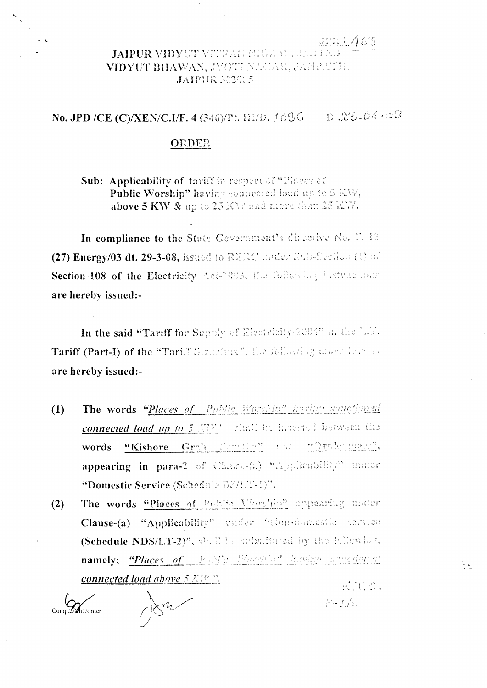## JAIPUR VIDYUT VITRAN HIGAM LIMIT VIDYUT BHAWAN, JYOTI NAGAR, JANPATH, **JAIPUR 302005**

## $D1.25.04.09$ **No. JPD /CE (C)/XEN/C.I/F. 4 (346)/Pt. HI/D. 1686**

## ORDER

**Sub: Applicability of tariff in respect of "Places of** Public Worship" having connected load up to 5 KW, above 5 KW & up to 25 KW and more than 25 KW.

In compliance to the State Government's directive No. F. 13 (27) Energy/03 dt. 29-3-08, issued to RERC under Sub-Section (1) of Section-108 of the Electricity Act-2003, the following instructions are hereby issued:-

In the said "Tariff for Supply of Electricity-2004" in the L.T. Tariff (Part-I) of the "Tariff Structure", the following uncoderable are hereby issued:-

- The words "Places of Public Worship" having sanctioned  $(1)$ **connected load up to 5** MPM shall be interfed between the "Kishore Grah Sansthe" and Crohensgeg", words appearing in para-2 of Clause-(a) "Applicability" under "Domestic Service (Schedule DS/LT-1)".
- The words "Places of Public Worship" appearing under  $(2)$ Clause-(a) "Applicability" under "Non-domestle service (Schedule NDS/LT-2)", shall be substituted by the following, namely; "Places of Public Worthin" having savictioned connected load above  $5 K W$ <sup>3</sup>. KTLD.

Comp.2/6h1/order



 $P - t / t$ 

示伝